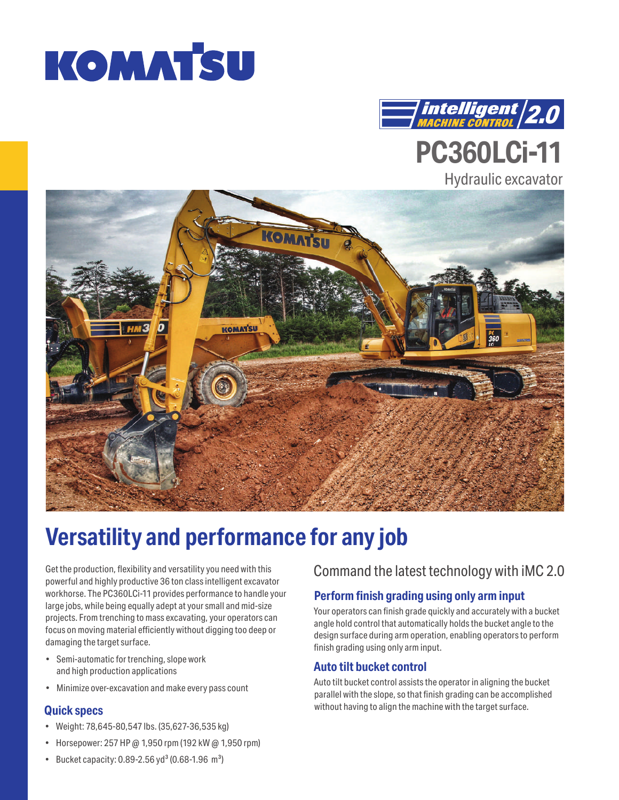



**PC360LCi-11**

# Hydraulic excavator KOMAT **KOMATSU**

# **Versatility and performance for any job**

Get the production, flexibility and versatility you need with this powerful and highly productive 36 ton class intelligent excavator workhorse. The PC360LCi-11 provides performance to handle your large jobs, while being equally adept at your small and mid-size projects. From trenching to mass excavating, your operators can focus on moving material efficiently without digging too deep or damaging the target surface.

- Semi-automatic for trenching, slope work and high production applications
- Minimize over-excavation and make every pass count

### **Quick specs**

- Weight: 78,645-80,547 lbs. (35,627-36,535 kg)
- Horsepower: 257 HP @ 1,950 rpm (192 kW @ 1,950 rpm)

## Command the latest technology with iMC 2.0

### **Perform finish grading using only arm input**

Your operators can finish grade quickly and accurately with a bucket angle hold control that automatically holds the bucket angle to the design surface during arm operation, enabling operators to perform finish grading using only arm input.

### **Auto tilt bucket control**

Auto tilt bucket control assists the operator in aligning the bucket parallel with the slope, so that finish grading can be accomplished without having to align the machine with the target surface.

• Bucket capacity: 0.89-2.56 yd<sup>3</sup> (0.68-1.96 m<sup>3</sup>)